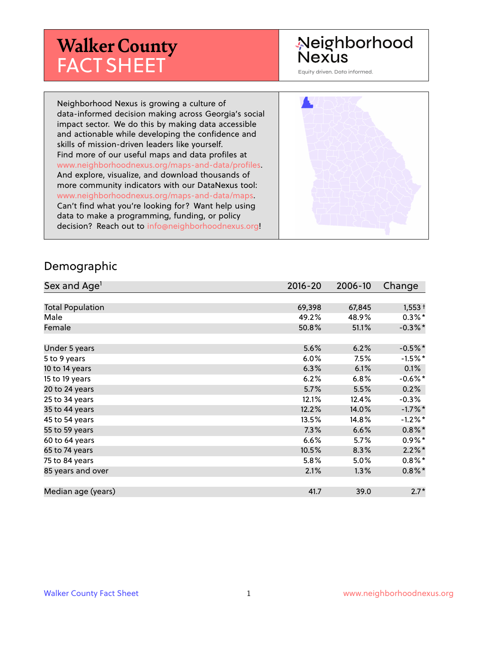# **Walker County** FACT SHEET

# Neighborhood **Nexus**

Equity driven. Data informed.

Neighborhood Nexus is growing a culture of data-informed decision making across Georgia's social impact sector. We do this by making data accessible and actionable while developing the confidence and skills of mission-driven leaders like yourself. Find more of our useful maps and data profiles at www.neighborhoodnexus.org/maps-and-data/profiles. And explore, visualize, and download thousands of more community indicators with our DataNexus tool: www.neighborhoodnexus.org/maps-and-data/maps. Can't find what you're looking for? Want help using data to make a programming, funding, or policy decision? Reach out to [info@neighborhoodnexus.org!](mailto:info@neighborhoodnexus.org)



#### Demographic

| Sex and Age <sup>1</sup> | $2016 - 20$ | 2006-10 | Change     |
|--------------------------|-------------|---------|------------|
|                          |             |         |            |
| <b>Total Population</b>  | 69,398      | 67,845  | $1,553+$   |
| Male                     | 49.2%       | 48.9%   | $0.3\%$ *  |
| Female                   | 50.8%       | 51.1%   | $-0.3\%$ * |
|                          |             |         |            |
| Under 5 years            | 5.6%        | 6.2%    | $-0.5%$ *  |
| 5 to 9 years             | 6.0%        | 7.5%    | $-1.5\%$ * |
| 10 to 14 years           | 6.3%        | 6.1%    | 0.1%       |
| 15 to 19 years           | 6.2%        | 6.8%    | $-0.6\%$ * |
| 20 to 24 years           | 5.7%        | 5.5%    | 0.2%       |
| 25 to 34 years           | 12.1%       | 12.4%   | $-0.3%$    |
| 35 to 44 years           | 12.2%       | 14.0%   | $-1.7%$ *  |
| 45 to 54 years           | 13.5%       | 14.8%   | $-1.2%$ *  |
| 55 to 59 years           | 7.3%        | 6.6%    | $0.8\%$ *  |
| 60 to 64 years           | 6.6%        | 5.7%    | $0.9\%*$   |
| 65 to 74 years           | 10.5%       | 8.3%    | $2.2\%$ *  |
| 75 to 84 years           | 5.8%        | 5.0%    | $0.8\%$    |
| 85 years and over        | 2.1%        | 1.3%    | $0.8\%$ *  |
|                          |             |         |            |
| Median age (years)       | 41.7        | 39.0    | $2.7*$     |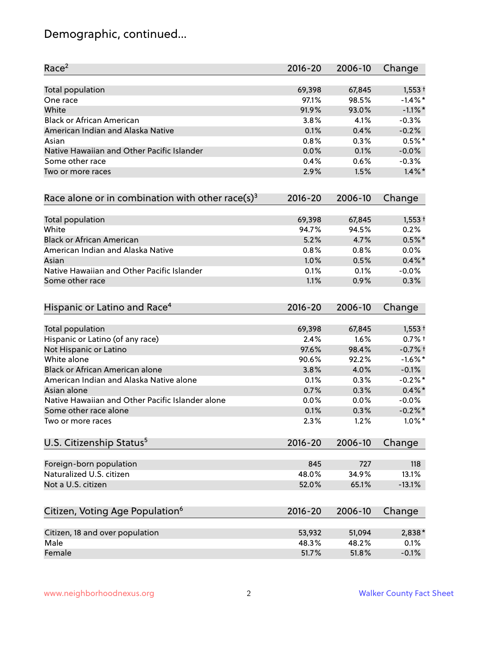# Demographic, continued...

| Race <sup>2</sup>                                            | $2016 - 20$ | 2006-10 | Change     |
|--------------------------------------------------------------|-------------|---------|------------|
| <b>Total population</b>                                      | 69,398      | 67,845  | $1,553+$   |
| One race                                                     | 97.1%       | 98.5%   | $-1.4%$ *  |
| White                                                        | 91.9%       | 93.0%   | $-1.1\%$ * |
| <b>Black or African American</b>                             | 3.8%        | 4.1%    | $-0.3%$    |
| American Indian and Alaska Native                            | 0.1%        | 0.4%    | $-0.2%$    |
| Asian                                                        | 0.8%        | 0.3%    | $0.5%$ *   |
| Native Hawaiian and Other Pacific Islander                   | 0.0%        | 0.1%    | $-0.0%$    |
| Some other race                                              | 0.4%        | 0.6%    | $-0.3%$    |
| Two or more races                                            | 2.9%        | 1.5%    | $1.4\%$ *  |
| Race alone or in combination with other race(s) <sup>3</sup> | $2016 - 20$ | 2006-10 | Change     |
| Total population                                             | 69,398      | 67,845  | $1,553+$   |
| White                                                        | 94.7%       | 94.5%   | 0.2%       |
| <b>Black or African American</b>                             | 5.2%        | 4.7%    | $0.5%$ *   |
| American Indian and Alaska Native                            | 0.8%        | 0.8%    | 0.0%       |
| Asian                                                        | 1.0%        | 0.5%    | $0.4\%$ *  |
| Native Hawaiian and Other Pacific Islander                   | 0.1%        | 0.1%    | $-0.0%$    |
| Some other race                                              | 1.1%        | 0.9%    | 0.3%       |
| Hispanic or Latino and Race <sup>4</sup>                     | $2016 - 20$ | 2006-10 | Change     |
| Total population                                             | 69,398      | 67,845  | $1,553+$   |
| Hispanic or Latino (of any race)                             | 2.4%        | 1.6%    | $0.7%$ +   |
| Not Hispanic or Latino                                       | 97.6%       | 98.4%   | $-0.7%$ †  |
| White alone                                                  | 90.6%       | 92.2%   | $-1.6\%$ * |
| Black or African American alone                              | 3.8%        | 4.0%    | $-0.1%$    |
| American Indian and Alaska Native alone                      | 0.1%        | 0.3%    | $-0.2%$ *  |
| Asian alone                                                  | 0.7%        | 0.3%    | $0.4\%$ *  |
| Native Hawaiian and Other Pacific Islander alone             | 0.0%        | $0.0\%$ | $-0.0%$    |
| Some other race alone                                        | 0.1%        | 0.3%    | $-0.2%$ *  |
| Two or more races                                            | 2.3%        | 1.2%    | $1.0\%$ *  |
| U.S. Citizenship Status <sup>5</sup>                         | $2016 - 20$ | 2006-10 | Change     |
| Foreign-born population                                      | 845         | 727     | 118        |
| Naturalized U.S. citizen                                     | 48.0%       | 34.9%   | 13.1%      |
| Not a U.S. citizen                                           | 52.0%       | 65.1%   | $-13.1%$   |
| Citizen, Voting Age Population <sup>6</sup>                  | $2016 - 20$ | 2006-10 | Change     |
|                                                              |             |         |            |
| Citizen, 18 and over population                              | 53,932      | 51,094  | 2,838*     |
| Male                                                         | 48.3%       | 48.2%   | 0.1%       |
| Female                                                       | 51.7%       | 51.8%   | $-0.1%$    |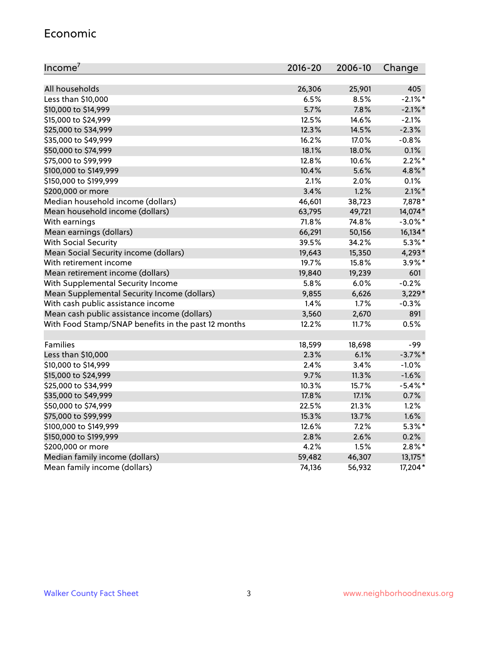## Economic

| Income <sup>7</sup>                                 | $2016 - 20$ | 2006-10 | Change     |
|-----------------------------------------------------|-------------|---------|------------|
|                                                     |             |         |            |
| All households                                      | 26,306      | 25,901  | 405        |
| Less than \$10,000                                  | 6.5%        | 8.5%    | $-2.1\%$ * |
| \$10,000 to \$14,999                                | 5.7%        | 7.8%    | $-2.1\%$ * |
| \$15,000 to \$24,999                                | 12.5%       | 14.6%   | $-2.1%$    |
| \$25,000 to \$34,999                                | 12.3%       | 14.5%   | $-2.3%$    |
| \$35,000 to \$49,999                                | 16.2%       | 17.0%   | $-0.8%$    |
| \$50,000 to \$74,999                                | 18.1%       | 18.0%   | 0.1%       |
| \$75,000 to \$99,999                                | 12.8%       | 10.6%   | $2.2\%$ *  |
| \$100,000 to \$149,999                              | 10.4%       | 5.6%    | 4.8%*      |
| \$150,000 to \$199,999                              | 2.1%        | 2.0%    | 0.1%       |
| \$200,000 or more                                   | 3.4%        | 1.2%    | $2.1\%$ *  |
| Median household income (dollars)                   | 46,601      | 38,723  | 7,878*     |
| Mean household income (dollars)                     | 63,795      | 49,721  | 14,074*    |
| With earnings                                       | 71.8%       | 74.8%   | $-3.0\%$ * |
| Mean earnings (dollars)                             | 66,291      | 50,156  | 16,134*    |
| <b>With Social Security</b>                         | 39.5%       | 34.2%   | $5.3\%$ *  |
| Mean Social Security income (dollars)               | 19,643      | 15,350  | 4,293*     |
| With retirement income                              | 19.7%       | 15.8%   | $3.9\%$ *  |
| Mean retirement income (dollars)                    | 19,840      | 19,239  | 601        |
| With Supplemental Security Income                   | 5.8%        | 6.0%    | $-0.2%$    |
| Mean Supplemental Security Income (dollars)         | 9,855       | 6,626   | $3,229*$   |
| With cash public assistance income                  | 1.4%        | 1.7%    | $-0.3%$    |
| Mean cash public assistance income (dollars)        | 3,560       | 2,670   | 891        |
| With Food Stamp/SNAP benefits in the past 12 months | 12.2%       | 11.7%   | 0.5%       |
|                                                     |             |         |            |
| Families                                            | 18,599      | 18,698  | -99        |
| Less than \$10,000                                  | 2.3%        | 6.1%    | $-3.7%$ *  |
| \$10,000 to \$14,999                                | 2.4%        | 3.4%    | $-1.0%$    |
| \$15,000 to \$24,999                                | 9.7%        | 11.3%   | $-1.6%$    |
| \$25,000 to \$34,999                                | 10.3%       | 15.7%   | $-5.4\%$ * |
| \$35,000 to \$49,999                                | 17.8%       | 17.1%   | 0.7%       |
| \$50,000 to \$74,999                                | 22.5%       | 21.3%   | 1.2%       |
| \$75,000 to \$99,999                                | 15.3%       | 13.7%   | 1.6%       |
| \$100,000 to \$149,999                              | 12.6%       | 7.2%    | $5.3\%$ *  |
| \$150,000 to \$199,999                              | 2.8%        | 2.6%    | 0.2%       |
| \$200,000 or more                                   | 4.2%        | 1.5%    | $2.8\%$ *  |
| Median family income (dollars)                      | 59,482      | 46,307  | 13,175*    |
| Mean family income (dollars)                        | 74,136      | 56,932  | 17,204*    |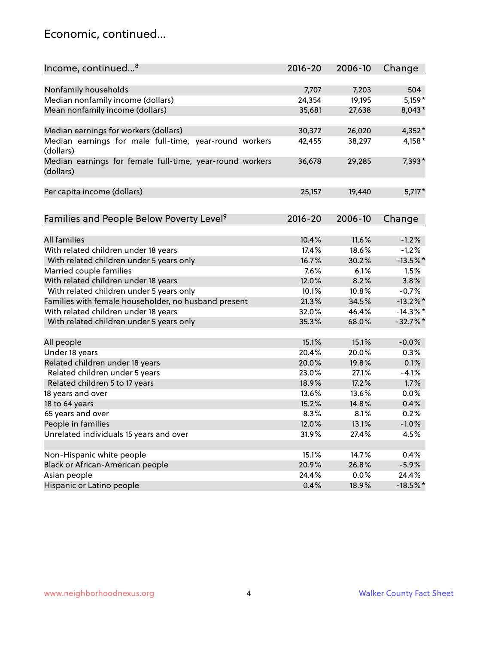## Economic, continued...

| Income, continued <sup>8</sup>                           | $2016 - 20$ | 2006-10 | Change      |
|----------------------------------------------------------|-------------|---------|-------------|
|                                                          |             |         |             |
| Nonfamily households                                     | 7,707       | 7,203   | 504         |
| Median nonfamily income (dollars)                        | 24,354      | 19,195  | 5,159*      |
| Mean nonfamily income (dollars)                          | 35,681      | 27,638  | 8,043*      |
|                                                          |             |         |             |
| Median earnings for workers (dollars)                    | 30,372      | 26,020  | 4,352*      |
| Median earnings for male full-time, year-round workers   | 42,455      | 38,297  | 4,158*      |
| (dollars)                                                |             |         |             |
| Median earnings for female full-time, year-round workers | 36,678      | 29,285  | 7,393*      |
| (dollars)                                                |             |         |             |
|                                                          | 25,157      | 19,440  | $5,717*$    |
| Per capita income (dollars)                              |             |         |             |
|                                                          |             |         |             |
| Families and People Below Poverty Level <sup>9</sup>     | $2016 - 20$ | 2006-10 | Change      |
|                                                          |             |         |             |
| <b>All families</b>                                      | 10.4%       | 11.6%   | $-1.2%$     |
| With related children under 18 years                     | 17.4%       | 18.6%   | $-1.2%$     |
| With related children under 5 years only                 | 16.7%       | 30.2%   | $-13.5%$ *  |
| Married couple families                                  | 7.6%        | 6.1%    | 1.5%        |
| With related children under 18 years                     | 12.0%       | 8.2%    | 3.8%        |
| With related children under 5 years only                 | 10.1%       | 10.8%   | $-0.7%$     |
| Families with female householder, no husband present     | 21.3%       | 34.5%   | $-13.2\%$ * |
| With related children under 18 years                     | 32.0%       | 46.4%   | $-14.3\%$ * |
| With related children under 5 years only                 | 35.3%       | 68.0%   | $-32.7%$ *  |
| All people                                               | 15.1%       | 15.1%   | $-0.0%$     |
| Under 18 years                                           | 20.4%       | 20.0%   | 0.3%        |
| Related children under 18 years                          | 20.0%       | 19.8%   | 0.1%        |
| Related children under 5 years                           | 23.0%       | 27.1%   | $-4.1%$     |
| Related children 5 to 17 years                           | 18.9%       | 17.2%   | 1.7%        |
| 18 years and over                                        | 13.6%       | 13.6%   | 0.0%        |
|                                                          |             |         |             |
| 18 to 64 years                                           | 15.2%       | 14.8%   | 0.4%        |
| 65 years and over                                        | 8.3%        | 8.1%    | 0.2%        |
| People in families                                       | 12.0%       | 13.1%   | $-1.0%$     |
| Unrelated individuals 15 years and over                  | 31.9%       | 27.4%   | 4.5%        |
|                                                          |             |         |             |
| Non-Hispanic white people                                | 15.1%       | 14.7%   | 0.4%        |
| Black or African-American people                         | 20.9%       | 26.8%   | $-5.9%$     |
| Asian people                                             | 24.4%       | 0.0%    | 24.4%       |
| Hispanic or Latino people                                | 0.4%        | 18.9%   | $-18.5\%$ * |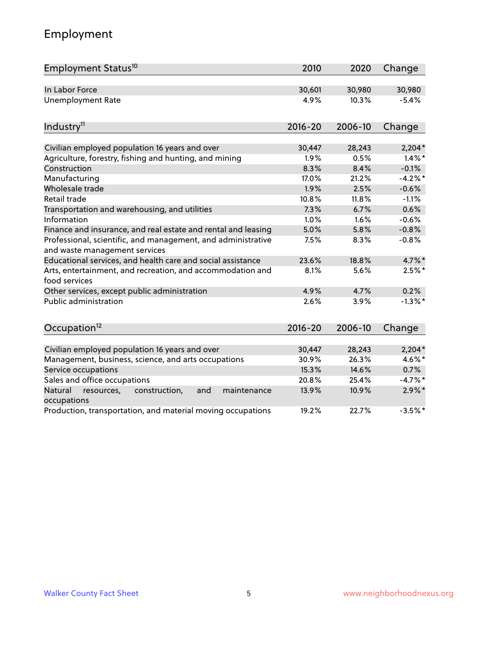# Employment

| Employment Status <sup>10</sup>                                                               | 2010        | 2020    | Change    |
|-----------------------------------------------------------------------------------------------|-------------|---------|-----------|
| In Labor Force                                                                                | 30,601      | 30,980  | 30,980    |
| <b>Unemployment Rate</b>                                                                      | 4.9%        | 10.3%   | $-5.4%$   |
| Industry <sup>11</sup>                                                                        | $2016 - 20$ | 2006-10 | Change    |
| Civilian employed population 16 years and over                                                | 30,447      | 28,243  | $2,204*$  |
| Agriculture, forestry, fishing and hunting, and mining                                        | 1.9%        | 0.5%    | $1.4\%$ * |
| Construction                                                                                  | 8.3%        | 8.4%    | $-0.1%$   |
| Manufacturing                                                                                 | 17.0%       | 21.2%   | $-4.2%$ * |
| Wholesale trade                                                                               | 1.9%        | 2.5%    | $-0.6%$   |
| Retail trade                                                                                  | 10.8%       | 11.8%   | $-1.1%$   |
| Transportation and warehousing, and utilities                                                 | 7.3%        | 6.7%    | 0.6%      |
| Information                                                                                   | 1.0%        | 1.6%    | $-0.6%$   |
| Finance and insurance, and real estate and rental and leasing                                 | 5.0%        | 5.8%    | $-0.8%$   |
| Professional, scientific, and management, and administrative<br>and waste management services | 7.5%        | 8.3%    | $-0.8%$   |
| Educational services, and health care and social assistance                                   | 23.6%       | 18.8%   | 4.7%*     |
| Arts, entertainment, and recreation, and accommodation and<br>food services                   | 8.1%        | 5.6%    | $2.5%$ *  |
| Other services, except public administration                                                  | 4.9%        | 4.7%    | 0.2%      |
| <b>Public administration</b>                                                                  | 2.6%        | 3.9%    | $-1.3%$ * |
| Occupation <sup>12</sup>                                                                      | $2016 - 20$ | 2006-10 | Change    |
| Civilian employed population 16 years and over                                                | 30,447      | 28,243  | $2,204*$  |
| Management, business, science, and arts occupations                                           | 30.9%       | 26.3%   | 4.6%*     |
| Service occupations                                                                           | 15.3%       | 14.6%   | 0.7%      |
| Sales and office occupations                                                                  | 20.8%       | 25.4%   | $-4.7%$ * |
| Natural<br>resources,<br>construction,<br>and<br>maintenance<br>occupations                   | 13.9%       | 10.9%   | $2.9\%$ * |
| Production, transportation, and material moving occupations                                   | 19.2%       | 22.7%   | $-3.5%$ * |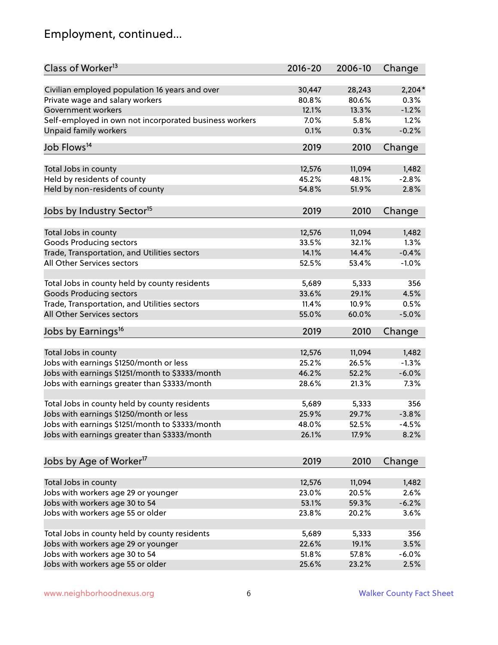# Employment, continued...

| Class of Worker <sup>13</sup>                          | $2016 - 20$    | 2006-10         | Change   |
|--------------------------------------------------------|----------------|-----------------|----------|
| Civilian employed population 16 years and over         | 30,447         | 28,243          | $2,204*$ |
| Private wage and salary workers                        | 80.8%          | 80.6%           | 0.3%     |
| Government workers                                     | 12.1%          | 13.3%           | $-1.2%$  |
| Self-employed in own not incorporated business workers | 7.0%           | 5.8%            | 1.2%     |
| Unpaid family workers                                  | 0.1%           | 0.3%            | $-0.2%$  |
| Job Flows <sup>14</sup>                                | 2019           | 2010            | Change   |
|                                                        |                |                 |          |
| Total Jobs in county                                   | 12,576         | 11,094          | 1,482    |
| Held by residents of county                            | 45.2%          | 48.1%           | $-2.8%$  |
| Held by non-residents of county                        | 54.8%          | 51.9%           | 2.8%     |
|                                                        |                |                 |          |
| Jobs by Industry Sector <sup>15</sup>                  | 2019           | 2010            | Change   |
| Total Jobs in county                                   | 12,576         | 11,094          | 1,482    |
| Goods Producing sectors                                | 33.5%          | 32.1%           | 1.3%     |
| Trade, Transportation, and Utilities sectors           | 14.1%          | 14.4%           | $-0.4%$  |
| All Other Services sectors                             | 52.5%          | 53.4%           | $-1.0%$  |
|                                                        |                |                 |          |
| Total Jobs in county held by county residents          | 5,689          | 5,333           | 356      |
| <b>Goods Producing sectors</b>                         | 33.6%          | 29.1%           | 4.5%     |
| Trade, Transportation, and Utilities sectors           | 11.4%          | 10.9%           | 0.5%     |
| All Other Services sectors                             | 55.0%          | 60.0%           | $-5.0%$  |
|                                                        |                |                 |          |
| Jobs by Earnings <sup>16</sup>                         | 2019           | 2010            | Change   |
|                                                        |                |                 | 1,482    |
| Total Jobs in county                                   | 12,576         | 11,094<br>26.5% |          |
| Jobs with earnings \$1250/month or less                | 25.2%<br>46.2% | 52.2%           | $-1.3%$  |
| Jobs with earnings \$1251/month to \$3333/month        |                |                 | $-6.0%$  |
| Jobs with earnings greater than \$3333/month           | 28.6%          | 21.3%           | 7.3%     |
| Total Jobs in county held by county residents          | 5,689          | 5,333           | 356      |
| Jobs with earnings \$1250/month or less                | 25.9%          | 29.7%           | $-3.8%$  |
| Jobs with earnings \$1251/month to \$3333/month        | 48.0%          | 52.5%           | $-4.5\%$ |
| Jobs with earnings greater than \$3333/month           | 26.1%          | 17.9%           | 8.2%     |
|                                                        |                |                 |          |
| Jobs by Age of Worker <sup>17</sup>                    | 2019           | 2010            | Change   |
| Total Jobs in county                                   | 12,576         | 11,094          | 1,482    |
| Jobs with workers age 29 or younger                    | 23.0%          | 20.5%           | 2.6%     |
| Jobs with workers age 30 to 54                         | 53.1%          | 59.3%           | $-6.2%$  |
| Jobs with workers age 55 or older                      | 23.8%          | 20.2%           | 3.6%     |
|                                                        |                |                 |          |
| Total Jobs in county held by county residents          | 5,689          | 5,333           | 356      |
| Jobs with workers age 29 or younger                    | 22.6%          | 19.1%           | 3.5%     |
| Jobs with workers age 30 to 54                         | 51.8%          | 57.8%           | $-6.0%$  |
| Jobs with workers age 55 or older                      | 25.6%          | 23.2%           | 2.5%     |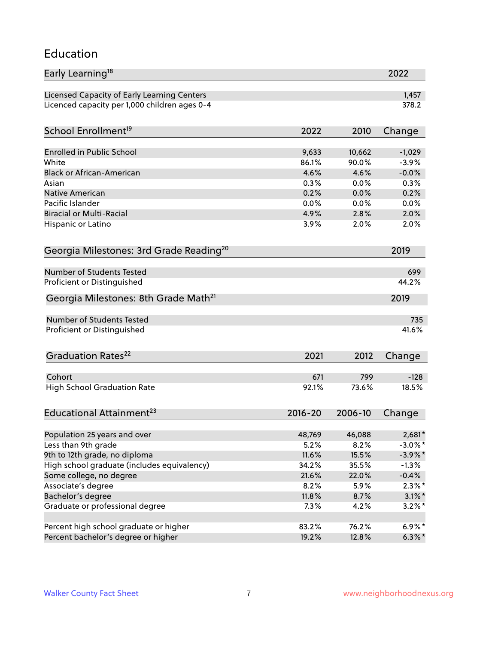## Education

| Early Learning <sup>18</sup>                        |             |         | 2022       |
|-----------------------------------------------------|-------------|---------|------------|
| Licensed Capacity of Early Learning Centers         |             |         | 1,457      |
| Licenced capacity per 1,000 children ages 0-4       |             |         | 378.2      |
| School Enrollment <sup>19</sup>                     | 2022        | 2010    | Change     |
|                                                     |             |         |            |
| <b>Enrolled in Public School</b>                    | 9,633       | 10,662  | $-1,029$   |
| White                                               | 86.1%       | 90.0%   | $-3.9%$    |
| <b>Black or African-American</b>                    | 4.6%        | 4.6%    | $-0.0%$    |
| Asian                                               | 0.3%        | 0.0%    | 0.3%       |
| <b>Native American</b>                              | 0.2%        | 0.0%    | 0.2%       |
| Pacific Islander                                    | 0.0%        | 0.0%    | 0.0%       |
| <b>Biracial or Multi-Racial</b>                     | 4.9%        | 2.8%    | 2.0%       |
| Hispanic or Latino                                  | 3.9%        | 2.0%    | 2.0%       |
| Georgia Milestones: 3rd Grade Reading <sup>20</sup> |             |         | 2019       |
| Number of Students Tested                           |             |         | 699        |
|                                                     |             |         | 44.2%      |
| Proficient or Distinguished                         |             |         |            |
| Georgia Milestones: 8th Grade Math <sup>21</sup>    |             |         | 2019       |
| Number of Students Tested                           |             |         | 735        |
| Proficient or Distinguished                         |             |         | 41.6%      |
| Graduation Rates <sup>22</sup>                      | 2021        | 2012    | Change     |
|                                                     |             |         |            |
| Cohort                                              | 671         | 799     | $-128$     |
| <b>High School Graduation Rate</b>                  | 92.1%       | 73.6%   | 18.5%      |
| Educational Attainment <sup>23</sup>                | $2016 - 20$ | 2006-10 | Change     |
| Population 25 years and over                        | 48,769      | 46,088  | $2,681*$   |
| Less than 9th grade                                 | 5.2%        | 8.2%    | $-3.0\%$ * |
| 9th to 12th grade, no diploma                       | 11.6%       | 15.5%   | $-3.9\%$ * |
| High school graduate (includes equivalency)         | 34.2%       | 35.5%   | $-1.3%$    |
| Some college, no degree                             | 21.6%       | 22.0%   | $-0.4%$    |
| Associate's degree                                  | 8.2%        | 5.9%    | $2.3\%$ *  |
| Bachelor's degree                                   | 11.8%       | 8.7%    | $3.1\%$ *  |
| Graduate or professional degree                     |             |         |            |
|                                                     | 7.3%        | 4.2%    | $3.2\%$ *  |
| Percent high school graduate or higher              | 83.2%       | 76.2%   | $6.9\%*$   |
| Percent bachelor's degree or higher                 | 19.2%       | 12.8%   | $6.3\%*$   |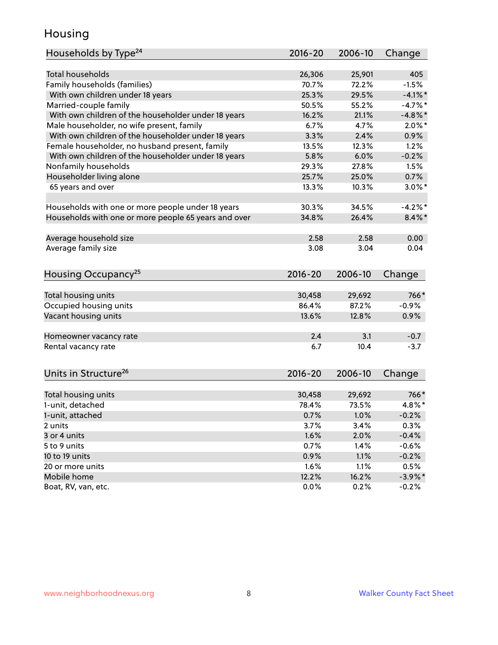## Housing

| Households by Type <sup>24</sup>                     | 2016-20     | 2006-10 | Change     |
|------------------------------------------------------|-------------|---------|------------|
|                                                      |             |         |            |
| Total households                                     | 26,306      | 25,901  | 405        |
| Family households (families)                         | 70.7%       | 72.2%   | $-1.5%$    |
| With own children under 18 years                     | 25.3%       | 29.5%   | $-4.1\%$ * |
| Married-couple family                                | 50.5%       | 55.2%   | $-4.7%$    |
| With own children of the householder under 18 years  | 16.2%       | 21.1%   | $-4.8\%$ * |
| Male householder, no wife present, family            | 6.7%        | 4.7%    | $2.0\%$ *  |
| With own children of the householder under 18 years  | 3.3%        | 2.4%    | 0.9%       |
| Female householder, no husband present, family       | 13.5%       | 12.3%   | 1.2%       |
| With own children of the householder under 18 years  | 5.8%        | 6.0%    | $-0.2%$    |
| Nonfamily households                                 | 29.3%       | 27.8%   | 1.5%       |
| Householder living alone                             | 25.7%       | 25.0%   | 0.7%       |
| 65 years and over                                    | 13.3%       | 10.3%   | $3.0\%$ *  |
| Households with one or more people under 18 years    | 30.3%       | 34.5%   | $-4.2%$    |
| Households with one or more people 65 years and over | 34.8%       | 26.4%   | $8.4\%$ *  |
| Average household size                               | 2.58        | 2.58    | 0.00       |
| Average family size                                  | 3.08        | 3.04    | 0.04       |
|                                                      |             |         |            |
| Housing Occupancy <sup>25</sup>                      | $2016 - 20$ | 2006-10 | Change     |
| Total housing units                                  | 30,458      | 29,692  | 766*       |
| Occupied housing units                               | 86.4%       | 87.2%   | $-0.9%$    |
| Vacant housing units                                 | 13.6%       | 12.8%   | 0.9%       |
|                                                      |             |         |            |
| Homeowner vacancy rate                               | 2.4         | 3.1     | $-0.7$     |
| Rental vacancy rate                                  | 6.7         | 10.4    | $-3.7$     |
| Units in Structure <sup>26</sup>                     | $2016 - 20$ | 2006-10 | Change     |
| Total housing units                                  | 30,458      | 29,692  | 766*       |
| 1-unit, detached                                     | 78.4%       | 73.5%   | 4.8%*      |
| 1-unit, attached                                     | 0.7%        | 1.0%    | $-0.2%$    |
| 2 units                                              | 3.7%        | 3.4%    | 0.3%       |
| 3 or 4 units                                         | 1.6%        | 2.0%    | $-0.4%$    |
| 5 to 9 units                                         | 0.7%        | 1.4%    | $-0.6%$    |
|                                                      |             |         |            |
| 10 to 19 units                                       | 0.9%        | 1.1%    | $-0.2%$    |
| 20 or more units                                     | 1.6%        | 1.1%    | 0.5%       |
| Mobile home<br>Boat, RV, van, etc.                   | 12.2%       | 16.2%   | $-3.9\%$ * |
|                                                      | 0.0%        | 0.2%    | $-0.2%$    |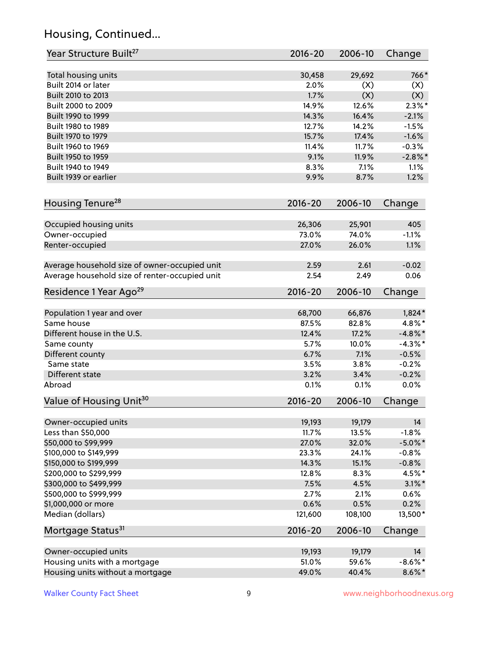# Housing, Continued...

| Year Structure Built <sup>27</sup>             | 2016-20     | 2006-10 | Change     |
|------------------------------------------------|-------------|---------|------------|
| Total housing units                            | 30,458      | 29,692  | 766*       |
| Built 2014 or later                            | 2.0%        | (X)     | (X)        |
| Built 2010 to 2013                             | 1.7%        | (X)     | (X)        |
| Built 2000 to 2009                             | 14.9%       | 12.6%   | $2.3\%$ *  |
| Built 1990 to 1999                             | 14.3%       | 16.4%   | $-2.1%$    |
| Built 1980 to 1989                             | 12.7%       | 14.2%   | $-1.5%$    |
| Built 1970 to 1979                             | 15.7%       | 17.4%   | $-1.6%$    |
| Built 1960 to 1969                             | 11.4%       | 11.7%   | $-0.3%$    |
| Built 1950 to 1959                             | 9.1%        | 11.9%   | $-2.8\%$ * |
| Built 1940 to 1949                             | 8.3%        | 7.1%    | 1.1%       |
| Built 1939 or earlier                          | 9.9%        | 8.7%    | 1.2%       |
| Housing Tenure <sup>28</sup>                   | $2016 - 20$ | 2006-10 | Change     |
| Occupied housing units                         | 26,306      | 25,901  | 405        |
| Owner-occupied                                 | 73.0%       | 74.0%   | $-1.1%$    |
| Renter-occupied                                | 27.0%       | 26.0%   | 1.1%       |
| Average household size of owner-occupied unit  | 2.59        | 2.61    | $-0.02$    |
| Average household size of renter-occupied unit | 2.54        | 2.49    | 0.06       |
| Residence 1 Year Ago <sup>29</sup>             | 2016-20     | 2006-10 | Change     |
| Population 1 year and over                     | 68,700      | 66,876  | $1,824*$   |
| Same house                                     | 87.5%       | 82.8%   | 4.8%*      |
| Different house in the U.S.                    | 12.4%       | 17.2%   | $-4.8\%$ * |
| Same county                                    | 5.7%        | 10.0%   | $-4.3\%$ * |
| Different county                               | 6.7%        | 7.1%    | $-0.5%$    |
| Same state                                     | 3.5%        | 3.8%    | $-0.2%$    |
| Different state                                | 3.2%        | 3.4%    | $-0.2%$    |
| Abroad                                         | 0.1%        | 0.1%    | 0.0%       |
| Value of Housing Unit <sup>30</sup>            | $2016 - 20$ | 2006-10 | Change     |
| Owner-occupied units                           | 19,193      | 19,179  | 14         |
| Less than \$50,000                             | 11.7%       | 13.5%   | $-1.8%$    |
| \$50,000 to \$99,999                           | 27.0%       | 32.0%   | $-5.0\%$ * |
| \$100,000 to \$149,999                         | 23.3%       | 24.1%   | $-0.8%$    |
| \$150,000 to \$199,999                         | 14.3%       | 15.1%   | $-0.8%$    |
| \$200,000 to \$299,999                         | 12.8%       | 8.3%    | 4.5%*      |
| \$300,000 to \$499,999                         | 7.5%        | 4.5%    | $3.1\%$ *  |
| \$500,000 to \$999,999                         | 2.7%        | 2.1%    | 0.6%       |
| \$1,000,000 or more                            | 0.6%        | 0.5%    | 0.2%       |
| Median (dollars)                               | 121,600     | 108,100 | 13,500*    |
| Mortgage Status <sup>31</sup>                  | $2016 - 20$ | 2006-10 | Change     |
| Owner-occupied units                           | 19,193      | 19,179  | 14         |
| Housing units with a mortgage                  | 51.0%       | 59.6%   | $-8.6\%$ * |
| Housing units without a mortgage               | 49.0%       | 40.4%   | 8.6%*      |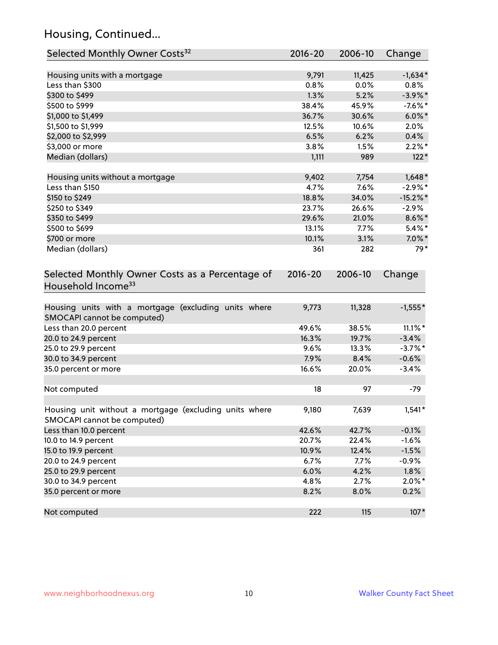# Housing, Continued...

| Selected Monthly Owner Costs <sup>32</sup>                                            | 2016-20 | 2006-10 | Change      |
|---------------------------------------------------------------------------------------|---------|---------|-------------|
| Housing units with a mortgage                                                         | 9,791   | 11,425  | $-1,634*$   |
| Less than \$300                                                                       | 0.8%    | 0.0%    | 0.8%        |
| \$300 to \$499                                                                        | 1.3%    | 5.2%    | $-3.9\%$ *  |
| \$500 to \$999                                                                        | 38.4%   | 45.9%   | $-7.6%$ *   |
| \$1,000 to \$1,499                                                                    | 36.7%   | 30.6%   | $6.0\%$ *   |
| \$1,500 to \$1,999                                                                    | 12.5%   | 10.6%   | 2.0%        |
| \$2,000 to \$2,999                                                                    | 6.5%    | 6.2%    | 0.4%        |
| \$3,000 or more                                                                       | 3.8%    | 1.5%    | $2.2\%$ *   |
| Median (dollars)                                                                      | 1,111   | 989     | $122*$      |
| Housing units without a mortgage                                                      | 9,402   | 7,754   | $1,648*$    |
| Less than \$150                                                                       | 4.7%    | 7.6%    | $-2.9\%$ *  |
| \$150 to \$249                                                                        | 18.8%   | 34.0%   | $-15.2\%$ * |
| \$250 to \$349                                                                        | 23.7%   | 26.6%   | $-2.9%$     |
| \$350 to \$499                                                                        | 29.6%   | 21.0%   | $8.6\%$ *   |
| \$500 to \$699                                                                        | 13.1%   | 7.7%    | $5.4\%$ *   |
| \$700 or more                                                                         | 10.1%   | 3.1%    | $7.0\%$ *   |
| Median (dollars)                                                                      | 361     | 282     | 79*         |
| Household Income <sup>33</sup>                                                        |         |         |             |
| Housing units with a mortgage (excluding units where<br>SMOCAPI cannot be computed)   | 9,773   | 11,328  | $-1,555*$   |
| Less than 20.0 percent                                                                | 49.6%   | 38.5%   | $11.1\%$ *  |
| 20.0 to 24.9 percent                                                                  | 16.3%   | 19.7%   | $-3.4%$     |
| 25.0 to 29.9 percent                                                                  | 9.6%    | 13.3%   | $-3.7\%$ *  |
| 30.0 to 34.9 percent                                                                  | 7.9%    | 8.4%    | $-0.6%$     |
| 35.0 percent or more                                                                  | 16.6%   | 20.0%   | $-3.4%$     |
| Not computed                                                                          | 18      | 97      | $-79$       |
| Housing unit without a mortgage (excluding units where<br>SMOCAPI cannot be computed) | 9,180   | 7,639   | $1,541*$    |
| Less than 10.0 percent                                                                | 42.6%   | 42.7%   | $-0.1%$     |
| 10.0 to 14.9 percent                                                                  | 20.7%   | 22.4%   | $-1.6%$     |
| 15.0 to 19.9 percent                                                                  | 10.9%   | 12.4%   | $-1.5%$     |
| 20.0 to 24.9 percent                                                                  | 6.7%    | 7.7%    | $-0.9%$     |
| 25.0 to 29.9 percent                                                                  | 6.0%    | 4.2%    | 1.8%        |
| 30.0 to 34.9 percent                                                                  | 4.8%    | 2.7%    | $2.0\%$ *   |
| 35.0 percent or more                                                                  | 8.2%    | 8.0%    | 0.2%        |
| Not computed                                                                          | 222     | 115     | $107*$      |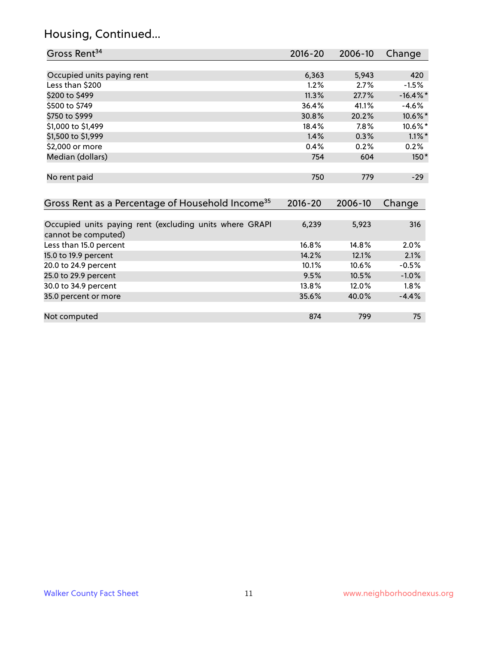# Housing, Continued...

| Gross Rent <sup>34</sup>                                                       | 2016-20     | 2006-10 | Change      |
|--------------------------------------------------------------------------------|-------------|---------|-------------|
|                                                                                |             |         |             |
| Occupied units paying rent                                                     | 6,363       | 5,943   | 420         |
| Less than \$200                                                                | 1.2%        | 2.7%    | $-1.5%$     |
| \$200 to \$499                                                                 | 11.3%       | 27.7%   | $-16.4\%$ * |
| \$500 to \$749                                                                 | 36.4%       | 41.1%   | $-4.6%$     |
| \$750 to \$999                                                                 | 30.8%       | 20.2%   | 10.6%*      |
| \$1,000 to \$1,499                                                             | 18.4%       | 7.8%    | 10.6%*      |
| \$1,500 to \$1,999                                                             | 1.4%        | 0.3%    | $1.1\%$ *   |
| \$2,000 or more                                                                | 0.4%        | 0.2%    | 0.2%        |
| Median (dollars)                                                               | 754         | 604     | $150*$      |
| No rent paid                                                                   | 750         | 779     | $-29$       |
| Gross Rent as a Percentage of Household Income <sup>35</sup>                   | $2016 - 20$ | 2006-10 | Change      |
| Occupied units paying rent (excluding units where GRAPI<br>cannot be computed) | 6,239       | 5,923   | 316         |
| Less than 15.0 percent                                                         | 16.8%       | 14.8%   | 2.0%        |
| 15.0 to 19.9 percent                                                           | 14.2%       | 12.1%   | 2.1%        |
| 20.0 to 24.9 percent                                                           | 10.1%       | 10.6%   | $-0.5%$     |
| 25.0 to 29.9 percent                                                           | 9.5%        | 10.5%   | $-1.0%$     |
| 30.0 to 34.9 percent                                                           | 13.8%       | 12.0%   | 1.8%        |
| 35.0 percent or more                                                           | 35.6%       | 40.0%   | $-4.4%$     |
| Not computed                                                                   | 874         | 799     | 75          |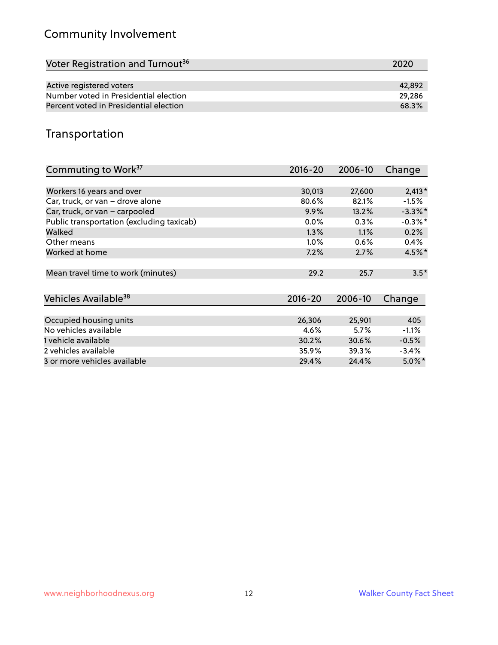# Community Involvement

| Voter Registration and Turnout <sup>36</sup> | 2020   |
|----------------------------------------------|--------|
|                                              |        |
| Active registered voters                     | 42.892 |
| Number voted in Presidential election        | 29.286 |
| Percent voted in Presidential election       | 68.3%  |

## Transportation

| Commuting to Work <sup>37</sup>           | 2016-20     | 2006-10 | Change     |
|-------------------------------------------|-------------|---------|------------|
|                                           |             |         |            |
| Workers 16 years and over                 | 30,013      | 27,600  | $2,413*$   |
| Car, truck, or van - drove alone          | 80.6%       | 82.1%   | $-1.5%$    |
| Car, truck, or van - carpooled            | 9.9%        | 13.2%   | $-3.3\%$ * |
| Public transportation (excluding taxicab) | $0.0\%$     | 0.3%    | $-0.3\%$ * |
| Walked                                    | 1.3%        | 1.1%    | 0.2%       |
| Other means                               | $1.0\%$     | 0.6%    | $0.4\%$    |
| Worked at home                            | 7.2%        | 2.7%    | $4.5\%$ *  |
| Mean travel time to work (minutes)        | 29.2        | 25.7    | $3.5*$     |
| Vehicles Available <sup>38</sup>          | $2016 - 20$ | 2006-10 | Change     |
| Occupied housing units                    | 26,306      | 25,901  | 405        |
| No vehicles available                     | 4.6%        | $5.7\%$ | $-1.1%$    |
| 1 vehicle available                       | 30.2%       | 30.6%   | $-0.5%$    |
| 2 vehicles available                      | 35.9%       | 39.3%   | $-3.4%$    |
| 3 or more vehicles available              | 29.4%       | 24.4%   | $5.0\%$ *  |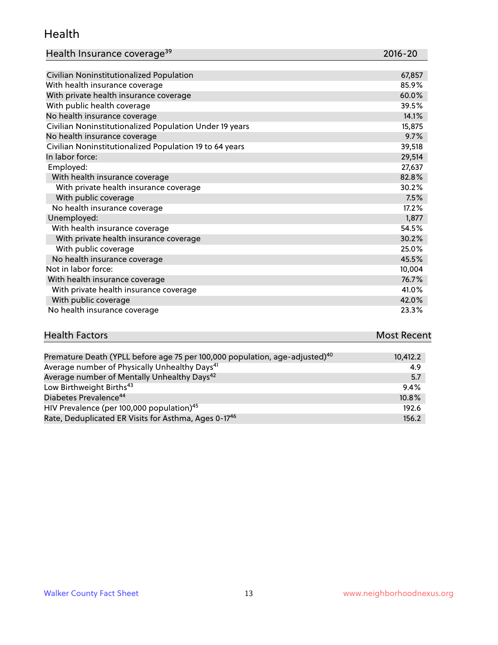#### Health

| Health Insurance coverage <sup>39</sup> | 2016-20 |
|-----------------------------------------|---------|
|-----------------------------------------|---------|

| Civilian Noninstitutionalized Population                | 67,857 |
|---------------------------------------------------------|--------|
| With health insurance coverage                          | 85.9%  |
| With private health insurance coverage                  | 60.0%  |
| With public health coverage                             | 39.5%  |
| No health insurance coverage                            | 14.1%  |
| Civilian Noninstitutionalized Population Under 19 years | 15,875 |
| No health insurance coverage                            | 9.7%   |
| Civilian Noninstitutionalized Population 19 to 64 years | 39,518 |
| In labor force:                                         | 29,514 |
| Employed:                                               | 27,637 |
| With health insurance coverage                          | 82.8%  |
| With private health insurance coverage                  | 30.2%  |
| With public coverage                                    | 7.5%   |
| No health insurance coverage                            | 17.2%  |
| Unemployed:                                             | 1,877  |
| With health insurance coverage                          | 54.5%  |
| With private health insurance coverage                  | 30.2%  |
| With public coverage                                    | 25.0%  |
| No health insurance coverage                            | 45.5%  |
| Not in labor force:                                     | 10,004 |
| With health insurance coverage                          | 76.7%  |
| With private health insurance coverage                  | 41.0%  |
| With public coverage                                    | 42.0%  |
| No health insurance coverage                            | 23.3%  |

# **Health Factors Most Recent** And The Control of the Control of The Control of The Control of The Control of The Control of The Control of The Control of The Control of The Control of The Control of The Control of The Contr

| Premature Death (YPLL before age 75 per 100,000 population, age-adjusted) <sup>40</sup> | 10,412.2 |
|-----------------------------------------------------------------------------------------|----------|
| Average number of Physically Unhealthy Days <sup>41</sup>                               | 4.9      |
| Average number of Mentally Unhealthy Days <sup>42</sup>                                 | 5.7      |
| Low Birthweight Births <sup>43</sup>                                                    | 9.4%     |
| Diabetes Prevalence <sup>44</sup>                                                       | 10.8%    |
| HIV Prevalence (per 100,000 population) <sup>45</sup>                                   | 192.6    |
| Rate, Deduplicated ER Visits for Asthma, Ages 0-17 <sup>46</sup>                        | 156.2    |